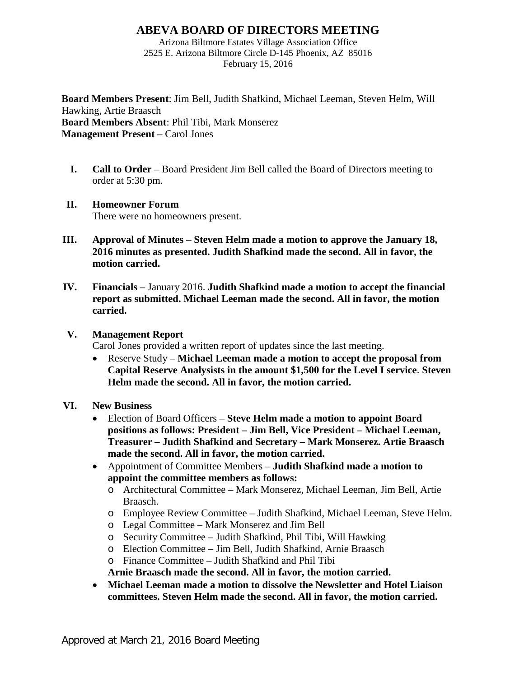# **ABEVA BOARD OF DIRECTORS MEETING**

Arizona Biltmore Estates Village Association Office 2525 E. Arizona Biltmore Circle D-145 Phoenix, AZ 85016 February 15, 2016

**Board Members Present**: Jim Bell, Judith Shafkind, Michael Leeman, Steven Helm, Will Hawking, Artie Braasch **Board Members Absent**: Phil Tibi, Mark Monserez **Management Present** – Carol Jones

**I. Call to Order** – Board President Jim Bell called the Board of Directors meeting to order at 5:30 pm.

## **II. Homeowner Forum**

There were no homeowners present.

- **III. Approval of Minutes Steven Helm made a motion to approve the January 18, 2016 minutes as presented. Judith Shafkind made the second. All in favor, the motion carried.**
- **IV. Financials** January 2016. **Judith Shafkind made a motion to accept the financial report as submitted. Michael Leeman made the second. All in favor, the motion carried.**

### **V. Management Report**

Carol Jones provided a written report of updates since the last meeting.

• Reserve Study – **Michael Leeman made a motion to accept the proposal from Capital Reserve Analysists in the amount \$1,500 for the Level I service**. **Steven Helm made the second. All in favor, the motion carried.**

#### **VI. New Business**

- Election of Board Officers **Steve Helm made a motion to appoint Board positions as follows: President – Jim Bell, Vice President – Michael Leeman, Treasurer – Judith Shafkind and Secretary – Mark Monserez. Artie Braasch made the second. All in favor, the motion carried.**
- Appointment of Committee Members **Judith Shafkind made a motion to appoint the committee members as follows:**
	- o Architectural Committee Mark Monserez, Michael Leeman, Jim Bell, Artie Braasch.
	- o Employee Review Committee Judith Shafkind, Michael Leeman, Steve Helm.
	- o Legal Committee Mark Monserez and Jim Bell
	- o Security Committee Judith Shafkind, Phil Tibi, Will Hawking
	- o Election Committee Jim Bell, Judith Shafkind, Arnie Braasch
	- o Finance Committee Judith Shafkind and Phil Tibi

**Arnie Braasch made the second. All in favor, the motion carried.**

• **Michael Leeman made a motion to dissolve the Newsletter and Hotel Liaison committees. Steven Helm made the second. All in favor, the motion carried.**